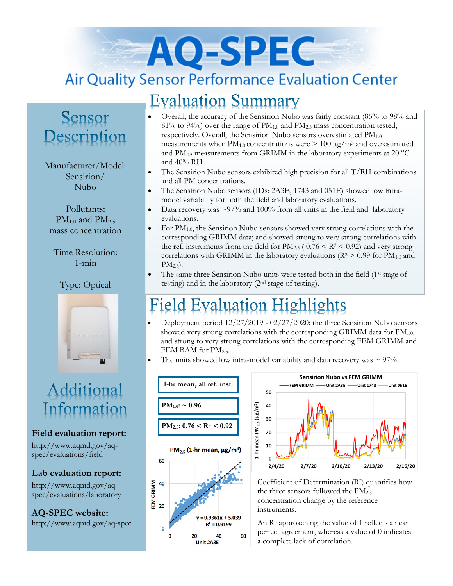# AO-SPEC **Air Quality Sensor Performance Evaluation Center**

## **Evaluation Summary**

# Sensor Description

#### Manufacturer/Model: Sensirion/ Nubo

Pollutants:  $PM_{1.0}$  and  $PM_{2.5}$ mass concentration

Time Resolution: 1-min

### Type: Optical



# Additional Information

#### **Field evaluation report:**

http://www.aqmd.gov/aqspec/evaluations/field

#### **Lab evaluation report:**

http://www.aqmd.gov/aqspec/evaluations/laboratory

**AQ-SPEC website:**  http://www.aqmd.gov/aq-spec

- Overall, the accuracy of the Sensirion Nubo was fairly constant (86% to 98% and  $81\%$  to 94%) over the range of  $PM<sub>1.0</sub>$  and  $PM<sub>2.5</sub>$  mass concentration tested, respectively. Overall, the Sensirion Nubo sensors overestimated PM<sub>1.0</sub> measurements when  $PM_{1,0}$  concentrations were  $> 100 \mu g/m^3$  and overestimated and  $PM_{2.5}$  measurements from GRIMM in the laboratory experiments at 20  $^{\circ}$ C and 40% RH.
- The Sensirion Nubo sensors exhibited high precision for all  $T/RH$  combinations and all PM concentrations.
- The Sensirion Nubo sensors (IDs: 2A3E, 1743 and 051E) showed low intramodel variability for both the field and laboratory evaluations.
- Data recovery was  $\sim$ 97% and 100% from all units in the field and laboratory evaluations.
- For  $PM_{1.0}$ , the Sensirion Nubo sensors showed very strong correlations with the corresponding GRIMM data; and showed strong to very strong correlations with the ref. instruments from the field for  $PM_{2.5}$  (  $0.76 \leq R^2 \leq 0.92$ ) and very strong correlations with GRIMM in the laboratory evaluations ( $R^2 > 0.99$  for  $PM_{1.0}$  and  $PM_{2.5}$ ).
- The same three Sensirion Nubo units were tested both in the field (1st stage of testing) and in the laboratory (2nd stage of testing).

# **Field Evaluation Highlights**

- Deployment period 12/27/2019 02/27/2020: the three Sensirion Nubo sensors showed very strong correlations with the corresponding GRIMM data for  $PM_{1.0}$ , and strong to very strong correlations with the corresponding FEM GRIMM and FEM BAM for PM<sub>2.5</sub>.
- The units showed low intra-model variability and data recovery was  $\sim$  97%.





Coefficient of Determination (R2) quantifies how the three sensors followed the  $PM_{2.5}$ concentration change by the reference instruments.

An R<sup>2</sup> approaching the value of 1 reflects a near perfect agreement, whereas a value of 0 indicates a complete lack of correlation.